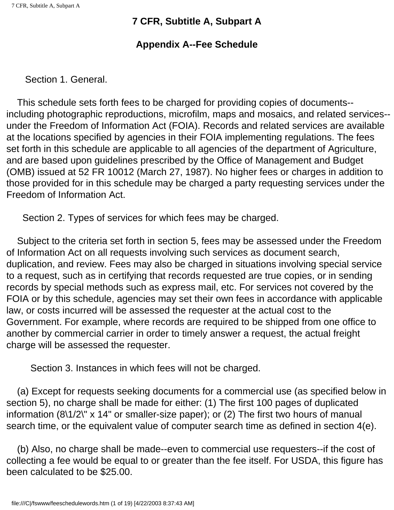## **Appendix A--Fee Schedule**

Section 1. General.

 This schedule sets forth fees to be charged for providing copies of documents- including photographic reproductions, microfilm, maps and mosaics, and related services- under the Freedom of Information Act (FOIA). Records and related services are available at the locations specified by agencies in their FOIA implementing regulations. The fees set forth in this schedule are applicable to all agencies of the department of Agriculture, and are based upon guidelines prescribed by the Office of Management and Budget (OMB) issued at 52 FR 10012 (March 27, 1987). No higher fees or charges in addition to those provided for in this schedule may be charged a party requesting services under the Freedom of Information Act.

Section 2. Types of services for which fees may be charged.

 Subject to the criteria set forth in section 5, fees may be assessed under the Freedom of Information Act on all requests involving such services as document search, duplication, and review. Fees may also be charged in situations involving special service to a request, such as in certifying that records requested are true copies, or in sending records by special methods such as express mail, etc. For services not covered by the FOIA or by this schedule, agencies may set their own fees in accordance with applicable law, or costs incurred will be assessed the requester at the actual cost to the Government. For example, where records are required to be shipped from one office to another by commercial carrier in order to timely answer a request, the actual freight charge will be assessed the requester.

Section 3. Instances in which fees will not be charged.

 (a) Except for requests seeking documents for a commercial use (as specified below in section 5), no charge shall be made for either: (1) The first 100 pages of duplicated information (8\1/2\" x 14" or smaller-size paper); or (2) The first two hours of manual search time, or the equivalent value of computer search time as defined in section 4(e).

 (b) Also, no charge shall be made--even to commercial use requesters--if the cost of collecting a fee would be equal to or greater than the fee itself. For USDA, this figure has been calculated to be \$25.00.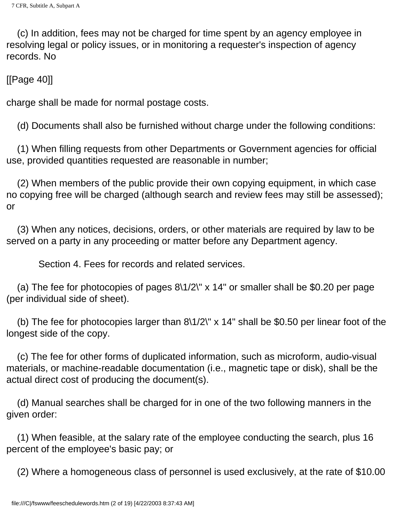(c) In addition, fees may not be charged for time spent by an agency employee in resolving legal or policy issues, or in monitoring a requester's inspection of agency records. No

[[Page 40]]

charge shall be made for normal postage costs.

(d) Documents shall also be furnished without charge under the following conditions:

 (1) When filling requests from other Departments or Government agencies for official use, provided quantities requested are reasonable in number;

 (2) When members of the public provide their own copying equipment, in which case no copying free will be charged (although search and review fees may still be assessed); or

 (3) When any notices, decisions, orders, or other materials are required by law to be served on a party in any proceeding or matter before any Department agency.

Section 4. Fees for records and related services.

(a) The fee for photocopies of pages  $8\frac{1}{2}$  x 14" or smaller shall be \$0.20 per page (per individual side of sheet).

 (b) The fee for photocopies larger than 8\1/2\" x 14" shall be \$0.50 per linear foot of the longest side of the copy.

 (c) The fee for other forms of duplicated information, such as microform, audio-visual materials, or machine-readable documentation (i.e., magnetic tape or disk), shall be the actual direct cost of producing the document(s).

 (d) Manual searches shall be charged for in one of the two following manners in the given order:

 (1) When feasible, at the salary rate of the employee conducting the search, plus 16 percent of the employee's basic pay; or

(2) Where a homogeneous class of personnel is used exclusively, at the rate of \$10.00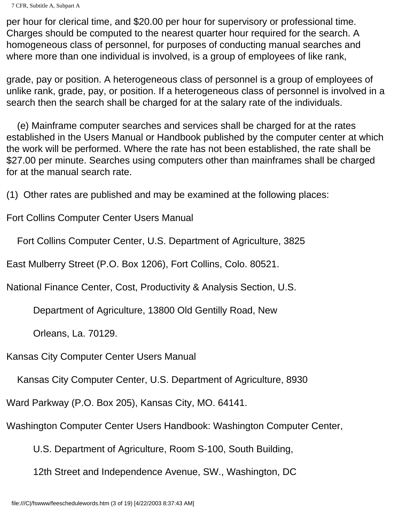```
7 CFR, Subtitle A, Subpart A
```
per hour for clerical time, and \$20.00 per hour for supervisory or professional time. Charges should be computed to the nearest quarter hour required for the search. A homogeneous class of personnel, for purposes of conducting manual searches and where more than one individual is involved, is a group of employees of like rank,

grade, pay or position. A heterogeneous class of personnel is a group of employees of unlike rank, grade, pay, or position. If a heterogeneous class of personnel is involved in a search then the search shall be charged for at the salary rate of the individuals.

 (e) Mainframe computer searches and services shall be charged for at the rates established in the Users Manual or Handbook published by the computer center at which the work will be performed. Where the rate has not been established, the rate shall be \$27.00 per minute. Searches using computers other than mainframes shall be charged for at the manual search rate.

(1) Other rates are published and may be examined at the following places:

Fort Collins Computer Center Users Manual

Fort Collins Computer Center, U.S. Department of Agriculture, 3825

East Mulberry Street (P.O. Box 1206), Fort Collins, Colo. 80521.

National Finance Center, Cost, Productivity & Analysis Section, U.S.

Department of Agriculture, 13800 Old Gentilly Road, New

Orleans, La. 70129.

Kansas City Computer Center Users Manual

Kansas City Computer Center, U.S. Department of Agriculture, 8930

Ward Parkway (P.O. Box 205), Kansas City, MO. 64141.

Washington Computer Center Users Handbook: Washington Computer Center,

U.S. Department of Agriculture, Room S-100, South Building,

12th Street and Independence Avenue, SW., Washington, DC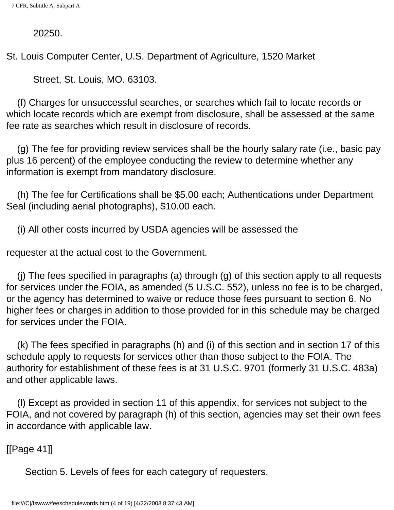20250.

St. Louis Computer Center, U.S. Department of Agriculture, 1520 Market

Street, St. Louis, MO. 63103.

 (f) Charges for unsuccessful searches, or searches which fail to locate records or which locate records which are exempt from disclosure, shall be assessed at the same fee rate as searches which result in disclosure of records.

 (g) The fee for providing review services shall be the hourly salary rate (i.e., basic pay plus 16 percent) of the employee conducting the review to determine whether any information is exempt from mandatory disclosure.

 (h) The fee for Certifications shall be \$5.00 each; Authentications under Department Seal (including aerial photographs), \$10.00 each.

(i) All other costs incurred by USDA agencies will be assessed the

requester at the actual cost to the Government.

 (j) The fees specified in paragraphs (a) through (g) of this section apply to all requests for services under the FOIA, as amended (5 U.S.C. 552), unless no fee is to be charged, or the agency has determined to waive or reduce those fees pursuant to section 6. No higher fees or charges in addition to those provided for in this schedule may be charged for services under the FOIA.

 (k) The fees specified in paragraphs (h) and (i) of this section and in section 17 of this schedule apply to requests for services other than those subject to the FOIA. The authority for establishment of these fees is at 31 U.S.C. 9701 (formerly 31 U.S.C. 483a) and other applicable laws.

 (l) Except as provided in section 11 of this appendix, for services not subject to the FOIA, and not covered by paragraph (h) of this section, agencies may set their own fees in accordance with applicable law.

[[Page 41]]

Section 5. Levels of fees for each category of requesters.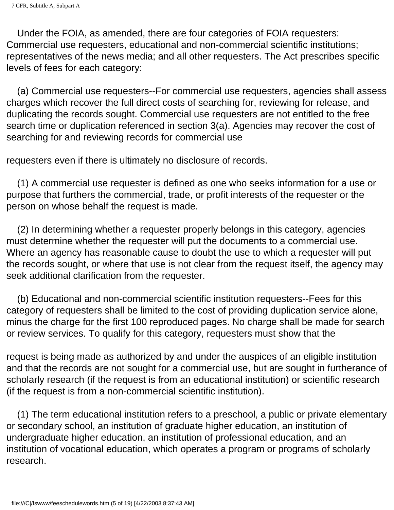Under the FOIA, as amended, there are four categories of FOIA requesters: Commercial use requesters, educational and non-commercial scientific institutions; representatives of the news media; and all other requesters. The Act prescribes specific levels of fees for each category:

 (a) Commercial use requesters--For commercial use requesters, agencies shall assess charges which recover the full direct costs of searching for, reviewing for release, and duplicating the records sought. Commercial use requesters are not entitled to the free search time or duplication referenced in section 3(a). Agencies may recover the cost of searching for and reviewing records for commercial use

requesters even if there is ultimately no disclosure of records.

 (1) A commercial use requester is defined as one who seeks information for a use or purpose that furthers the commercial, trade, or profit interests of the requester or the person on whose behalf the request is made.

 (2) In determining whether a requester properly belongs in this category, agencies must determine whether the requester will put the documents to a commercial use. Where an agency has reasonable cause to doubt the use to which a requester will put the records sought, or where that use is not clear from the request itself, the agency may seek additional clarification from the requester.

 (b) Educational and non-commercial scientific institution requesters--Fees for this category of requesters shall be limited to the cost of providing duplication service alone, minus the charge for the first 100 reproduced pages. No charge shall be made for search or review services. To qualify for this category, requesters must show that the

request is being made as authorized by and under the auspices of an eligible institution and that the records are not sought for a commercial use, but are sought in furtherance of scholarly research (if the request is from an educational institution) or scientific research (if the request is from a non-commercial scientific institution).

 (1) The term educational institution refers to a preschool, a public or private elementary or secondary school, an institution of graduate higher education, an institution of undergraduate higher education, an institution of professional education, and an institution of vocational education, which operates a program or programs of scholarly research.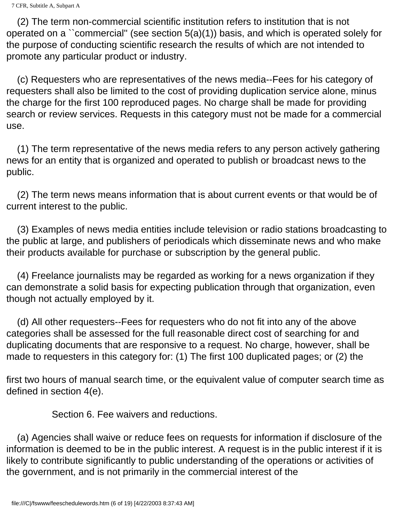(2) The term non-commercial scientific institution refers to institution that is not operated on a ``commercial'' (see section 5(a)(1)) basis, and which is operated solely for the purpose of conducting scientific research the results of which are not intended to promote any particular product or industry.

 (c) Requesters who are representatives of the news media--Fees for his category of requesters shall also be limited to the cost of providing duplication service alone, minus the charge for the first 100 reproduced pages. No charge shall be made for providing search or review services. Requests in this category must not be made for a commercial use.

 (1) The term representative of the news media refers to any person actively gathering news for an entity that is organized and operated to publish or broadcast news to the public.

 (2) The term news means information that is about current events or that would be of current interest to the public.

 (3) Examples of news media entities include television or radio stations broadcasting to the public at large, and publishers of periodicals which disseminate news and who make their products available for purchase or subscription by the general public.

 (4) Freelance journalists may be regarded as working for a news organization if they can demonstrate a solid basis for expecting publication through that organization, even though not actually employed by it.

 (d) All other requesters--Fees for requesters who do not fit into any of the above categories shall be assessed for the full reasonable direct cost of searching for and duplicating documents that are responsive to a request. No charge, however, shall be made to requesters in this category for: (1) The first 100 duplicated pages; or (2) the

first two hours of manual search time, or the equivalent value of computer search time as defined in section 4(e).

Section 6. Fee waivers and reductions.

 (a) Agencies shall waive or reduce fees on requests for information if disclosure of the information is deemed to be in the public interest. A request is in the public interest if it is likely to contribute significantly to public understanding of the operations or activities of the government, and is not primarily in the commercial interest of the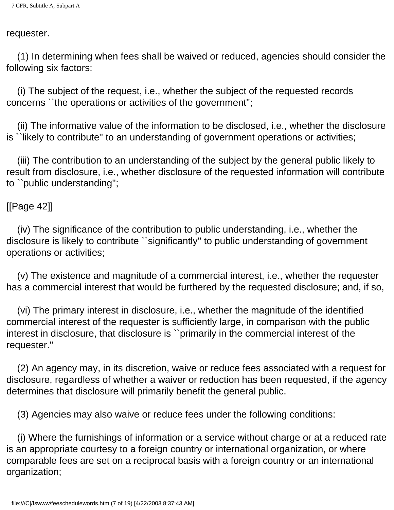#### requester.

 (1) In determining when fees shall be waived or reduced, agencies should consider the following six factors:

 (i) The subject of the request, i.e., whether the subject of the requested records concerns ``the operations or activities of the government'';

 (ii) The informative value of the information to be disclosed, i.e., whether the disclosure is ``likely to contribute'' to an understanding of government operations or activities;

 (iii) The contribution to an understanding of the subject by the general public likely to result from disclosure, i.e., whether disclosure of the requested information will contribute to ``public understanding'';

#### [[Page 42]]

 (iv) The significance of the contribution to public understanding, i.e., whether the disclosure is likely to contribute ``significantly'' to public understanding of government operations or activities;

 (v) The existence and magnitude of a commercial interest, i.e., whether the requester has a commercial interest that would be furthered by the requested disclosure; and, if so,

 (vi) The primary interest in disclosure, i.e., whether the magnitude of the identified commercial interest of the requester is sufficiently large, in comparison with the public interest in disclosure, that disclosure is ``primarily in the commercial interest of the requester.''

 (2) An agency may, in its discretion, waive or reduce fees associated with a request for disclosure, regardless of whether a waiver or reduction has been requested, if the agency determines that disclosure will primarily benefit the general public.

(3) Agencies may also waive or reduce fees under the following conditions:

 (i) Where the furnishings of information or a service without charge or at a reduced rate is an appropriate courtesy to a foreign country or international organization, or where comparable fees are set on a reciprocal basis with a foreign country or an international organization;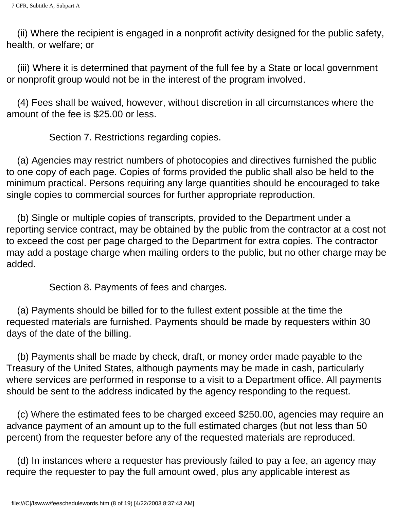(ii) Where the recipient is engaged in a nonprofit activity designed for the public safety, health, or welfare; or

 (iii) Where it is determined that payment of the full fee by a State or local government or nonprofit group would not be in the interest of the program involved.

 (4) Fees shall be waived, however, without discretion in all circumstances where the amount of the fee is \$25.00 or less.

Section 7. Restrictions regarding copies.

 (a) Agencies may restrict numbers of photocopies and directives furnished the public to one copy of each page. Copies of forms provided the public shall also be held to the minimum practical. Persons requiring any large quantities should be encouraged to take single copies to commercial sources for further appropriate reproduction.

 (b) Single or multiple copies of transcripts, provided to the Department under a reporting service contract, may be obtained by the public from the contractor at a cost not to exceed the cost per page charged to the Department for extra copies. The contractor may add a postage charge when mailing orders to the public, but no other charge may be added.

Section 8. Payments of fees and charges.

 (a) Payments should be billed for to the fullest extent possible at the time the requested materials are furnished. Payments should be made by requesters within 30 days of the date of the billing.

 (b) Payments shall be made by check, draft, or money order made payable to the Treasury of the United States, although payments may be made in cash, particularly where services are performed in response to a visit to a Department office. All payments should be sent to the address indicated by the agency responding to the request.

 (c) Where the estimated fees to be charged exceed \$250.00, agencies may require an advance payment of an amount up to the full estimated charges (but not less than 50 percent) from the requester before any of the requested materials are reproduced.

 (d) In instances where a requester has previously failed to pay a fee, an agency may require the requester to pay the full amount owed, plus any applicable interest as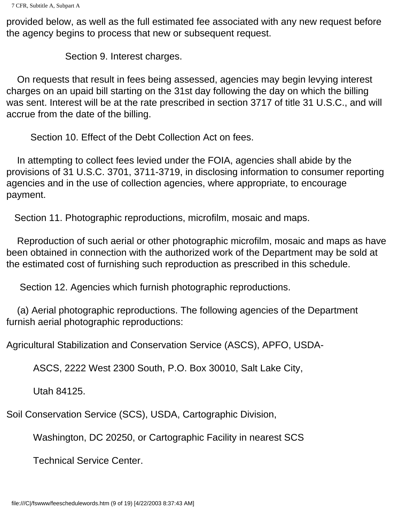provided below, as well as the full estimated fee associated with any new request before the agency begins to process that new or subsequent request.

Section 9. Interest charges.

 On requests that result in fees being assessed, agencies may begin levying interest charges on an upaid bill starting on the 31st day following the day on which the billing was sent. Interest will be at the rate prescribed in section 3717 of title 31 U.S.C., and will accrue from the date of the billing.

Section 10. Effect of the Debt Collection Act on fees.

 In attempting to collect fees levied under the FOIA, agencies shall abide by the provisions of 31 U.S.C. 3701, 3711-3719, in disclosing information to consumer reporting agencies and in the use of collection agencies, where appropriate, to encourage payment.

Section 11. Photographic reproductions, microfilm, mosaic and maps.

 Reproduction of such aerial or other photographic microfilm, mosaic and maps as have been obtained in connection with the authorized work of the Department may be sold at the estimated cost of furnishing such reproduction as prescribed in this schedule.

Section 12. Agencies which furnish photographic reproductions.

 (a) Aerial photographic reproductions. The following agencies of the Department furnish aerial photographic reproductions:

Agricultural Stabilization and Conservation Service (ASCS), APFO, USDA-

ASCS, 2222 West 2300 South, P.O. Box 30010, Salt Lake City,

Utah 84125.

Soil Conservation Service (SCS), USDA, Cartographic Division,

Washington, DC 20250, or Cartographic Facility in nearest SCS

Technical Service Center.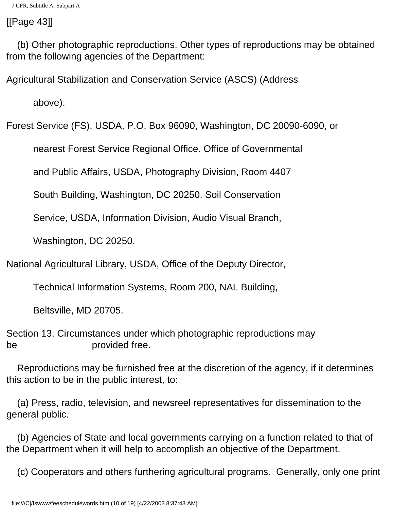## [[Page 43]]

 (b) Other photographic reproductions. Other types of reproductions may be obtained from the following agencies of the Department:

Agricultural Stabilization and Conservation Service (ASCS) (Address

above).

Forest Service (FS), USDA, P.O. Box 96090, Washington, DC 20090-6090, or

nearest Forest Service Regional Office. Office of Governmental

and Public Affairs, USDA, Photography Division, Room 4407

South Building, Washington, DC 20250. Soil Conservation

Service, USDA, Information Division, Audio Visual Branch,

Washington, DC 20250.

National Agricultural Library, USDA, Office of the Deputy Director,

Technical Information Systems, Room 200, NAL Building,

Beltsville, MD 20705.

Section 13. Circumstances under which photographic reproductions may be **provided** free.

 Reproductions may be furnished free at the discretion of the agency, if it determines this action to be in the public interest, to:

 (a) Press, radio, television, and newsreel representatives for dissemination to the general public.

 (b) Agencies of State and local governments carrying on a function related to that of the Department when it will help to accomplish an objective of the Department.

(c) Cooperators and others furthering agricultural programs. Generally, only one print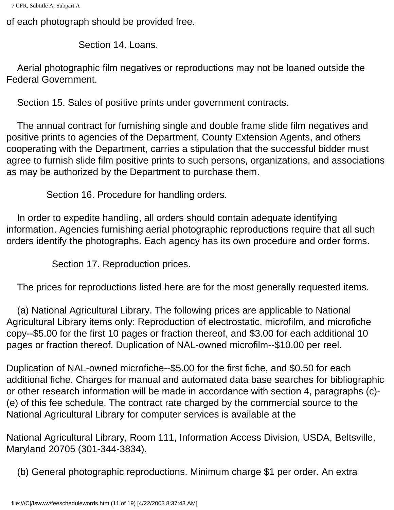```
7 CFR, Subtitle A, Subpart A
```
of each photograph should be provided free.

Section 14. Loans.

 Aerial photographic film negatives or reproductions may not be loaned outside the Federal Government.

Section 15. Sales of positive prints under government contracts.

 The annual contract for furnishing single and double frame slide film negatives and positive prints to agencies of the Department, County Extension Agents, and others cooperating with the Department, carries a stipulation that the successful bidder must agree to furnish slide film positive prints to such persons, organizations, and associations as may be authorized by the Department to purchase them.

Section 16. Procedure for handling orders.

 In order to expedite handling, all orders should contain adequate identifying information. Agencies furnishing aerial photographic reproductions require that all such orders identify the photographs. Each agency has its own procedure and order forms.

Section 17. Reproduction prices.

The prices for reproductions listed here are for the most generally requested items.

 (a) National Agricultural Library. The following prices are applicable to National Agricultural Library items only: Reproduction of electrostatic, microfilm, and microfiche copy--\$5.00 for the first 10 pages or fraction thereof, and \$3.00 for each additional 10 pages or fraction thereof. Duplication of NAL-owned microfilm--\$10.00 per reel.

Duplication of NAL-owned microfiche--\$5.00 for the first fiche, and \$0.50 for each additional fiche. Charges for manual and automated data base searches for bibliographic or other research information will be made in accordance with section 4, paragraphs (c)- (e) of this fee schedule. The contract rate charged by the commercial source to the National Agricultural Library for computer services is available at the

National Agricultural Library, Room 111, Information Access Division, USDA, Beltsville, Maryland 20705 (301-344-3834).

(b) General photographic reproductions. Minimum charge \$1 per order. An extra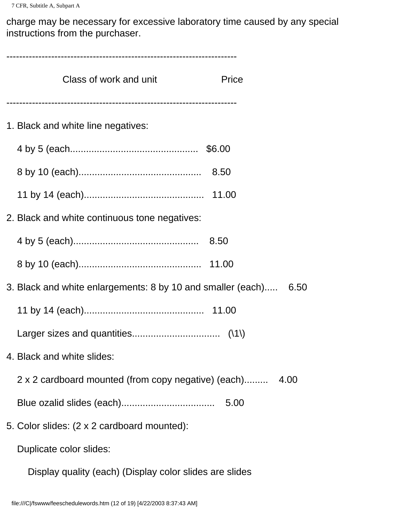charge may be necessary for excessive laboratory time caused by any special instructions from the purchaser.

------------------------------------------------------------------------ Class of work and unit **Price** ------------------------------------------------------------------------ 1. Black and white line negatives: 4 by 5 (each................................................ \$6.00 8 by 10 (each).............................................. 8.50 11 by 14 (each)............................................. 11.00 2. Black and white continuous tone negatives: 4 by 5 (each)............................................... 8.50 8 by 10 (each).............................................. 11.00 3. Black and white enlargements: 8 by 10 and smaller (each)..... 6.50 11 by 14 (each)............................................. 11.00 Larger sizes and quantities................................. (\1\) 4. Black and white slides: 2 x 2 cardboard mounted (from copy negative) (each)......... 4.00 Blue ozalid slides (each)................................... 5.00 5. Color slides: (2 x 2 cardboard mounted): Duplicate color slides:

Display quality (each) (Display color slides are slides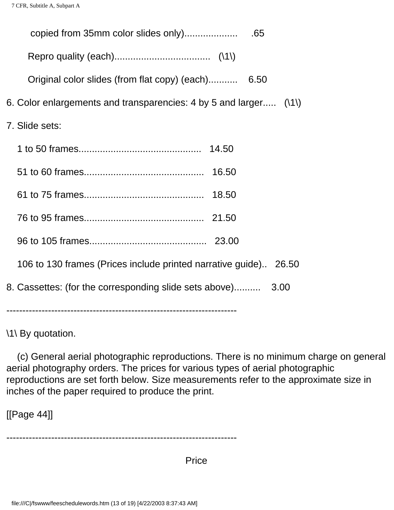| copied from 35mm color slides only)                               | .65  |
|-------------------------------------------------------------------|------|
|                                                                   |      |
| Original color slides (from flat copy) (each)                     | 6.50 |
| 6. Color enlargements and transparencies: 4 by 5 and larger (\1\) |      |
| 7. Slide sets:                                                    |      |
|                                                                   |      |
|                                                                   |      |
|                                                                   |      |
|                                                                   |      |
|                                                                   |      |
| 106 to 130 frames (Prices include printed narrative guide) 26.50  |      |
| 8. Cassettes: (for the corresponding slide sets above)            | 3.00 |

\1\ By quotation.

 (c) General aerial photographic reproductions. There is no minimum charge on general aerial photography orders. The prices for various types of aerial photographic reproductions are set forth below. Size measurements refer to the approximate size in inches of the paper required to produce the print.

[[Page 44]]

------------------------------------------------------------------------

**Price Price Price**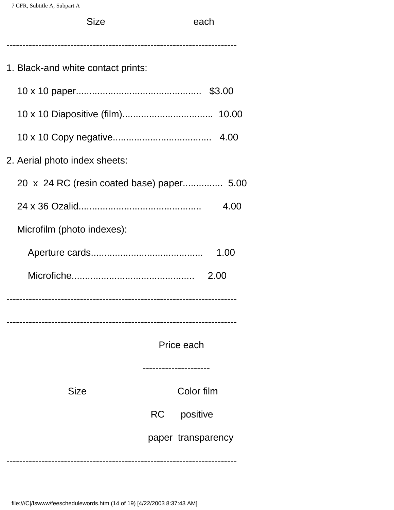| <b>Size</b>                               | each               |
|-------------------------------------------|--------------------|
|                                           |                    |
| 1. Black-and white contact prints:        |                    |
|                                           |                    |
|                                           |                    |
|                                           |                    |
| 2. Aerial photo index sheets:             |                    |
| 20 x 24 RC (resin coated base) paper 5.00 |                    |
|                                           | 4.00               |
| Microfilm (photo indexes):                |                    |
|                                           | 1.00               |
|                                           | 2.00               |
|                                           |                    |
|                                           |                    |
|                                           | Price each         |
|                                           |                    |
| Size                                      | Color film         |
|                                           | RC<br>positive     |
|                                           | paper transparency |
|                                           |                    |

------------------------------------------------------------------------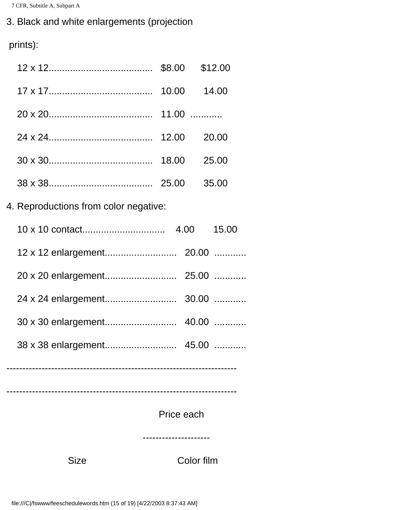# 3. Black and white enlargements (projection

prints):

| <b>Size</b>                           |            | Color film |  |
|---------------------------------------|------------|------------|--|
|                                       | Price each |            |  |
|                                       |            |            |  |
|                                       |            |            |  |
|                                       |            |            |  |
|                                       |            |            |  |
|                                       |            |            |  |
|                                       |            |            |  |
|                                       |            |            |  |
| 4. Reproductions from color negative: |            |            |  |
|                                       |            |            |  |
|                                       |            |            |  |
|                                       |            |            |  |
|                                       |            |            |  |
|                                       |            |            |  |
|                                       |            |            |  |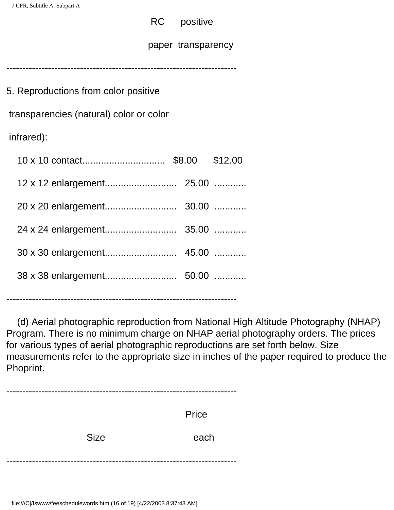### RC positive

paper transparency

------------------------------------------------------------------------

| 5. Reproductions from color positive    |         |
|-----------------------------------------|---------|
| transparencies (natural) color or color |         |
| infrared):                              |         |
|                                         | \$12.00 |
|                                         |         |
|                                         |         |
|                                         |         |
|                                         |         |
|                                         |         |
|                                         |         |

------------------------------------------------------------------------

 (d) Aerial photographic reproduction from National High Altitude Photography (NHAP) Program. There is no minimum charge on NHAP aerial photography orders. The prices for various types of aerial photographic reproductions are set forth below. Size measurements refer to the appropriate size in inches of the paper required to produce the Phoprint.

|             | Price |
|-------------|-------|
| <b>Size</b> | each  |
|             |       |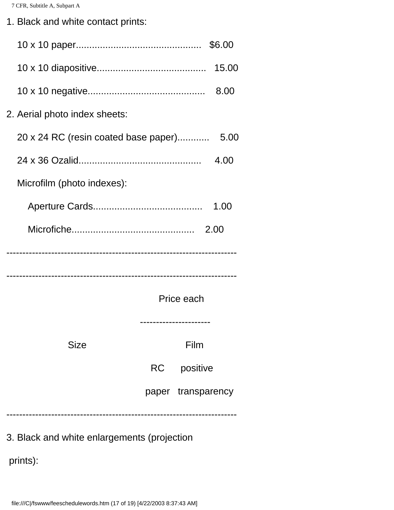1. Black and white contact prints:

| 2. Aerial photo index sheets:        |           |                    |      |
|--------------------------------------|-----------|--------------------|------|
| 20 x 24 RC (resin coated base paper) |           |                    | 5.00 |
|                                      |           |                    | 4.00 |
| Microfilm (photo indexes):           |           |                    |      |
|                                      |           |                    | 1.00 |
|                                      |           |                    | 2.00 |
|                                      |           |                    |      |
|                                      |           |                    |      |
|                                      |           | Price each         |      |
|                                      |           |                    |      |
| <b>Size</b>                          |           | Film               |      |
|                                      | <b>RC</b> | positive           |      |
|                                      |           | paper transparency |      |
|                                      |           |                    |      |

3. Black and white enlargements (projection

prints):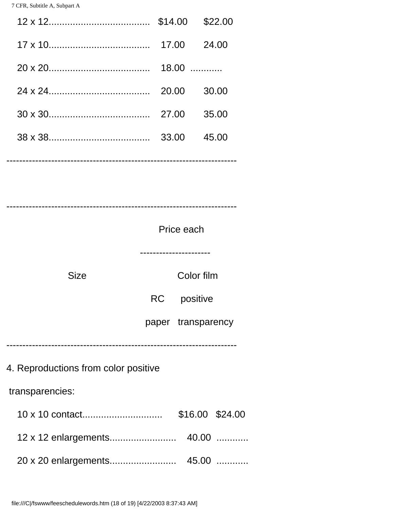|                                                         |                                                 | 30.00 |
|---------------------------------------------------------|-------------------------------------------------|-------|
|                                                         |                                                 | 35.00 |
|                                                         |                                                 |       |
|                                                         | Price each                                      |       |
| <b>Size</b>                                             | Color film<br>RC positive<br>paper transparency |       |
| 4. Reproductions from color positive<br>transparencies: |                                                 |       |
|                                                         | \$16.00 \$24.00                                 |       |
|                                                         |                                                 |       |
|                                                         |                                                 |       |